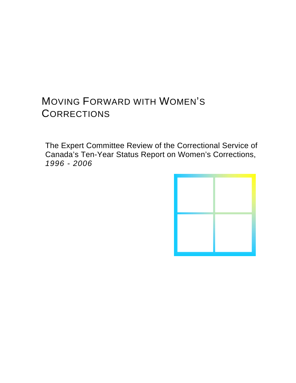# MOVING FORWARD WITH WOMEN'S **CORRECTIONS**

The Expert Committee Review of the Correctional Service of Canada's Ten-Year Status Report on Women's Corrections, *1996 - 2006*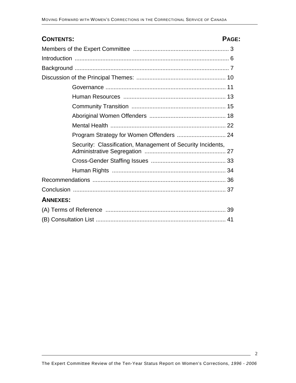| <b>CONTENTS:</b>                                            | PAGE: |  |
|-------------------------------------------------------------|-------|--|
|                                                             |       |  |
|                                                             |       |  |
|                                                             |       |  |
|                                                             |       |  |
|                                                             |       |  |
|                                                             |       |  |
|                                                             |       |  |
|                                                             |       |  |
|                                                             |       |  |
|                                                             |       |  |
| Security: Classification, Management of Security Incidents, |       |  |
|                                                             |       |  |
|                                                             |       |  |
|                                                             |       |  |
|                                                             |       |  |
| <b>ANNEXES:</b>                                             |       |  |
|                                                             |       |  |
|                                                             |       |  |

 $\sim$  2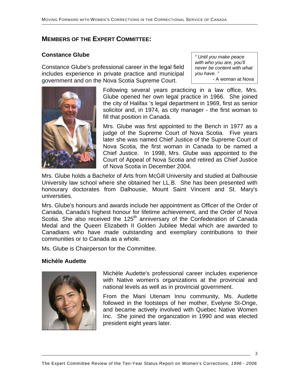## **MEMBERS OF THE EXPERT COMMITTEE:**

# **Constance Glube** *" Until you make peace*

Constance Glube's professional career in the legal field includes experience in private practice and municipal government and on the Nova Scotia Supreme Court.

*with who you are, you'll never be content with what you have. "*  - A woman at Nova



Following several years practicing in a law office, Mrs. Glube opened her own legal practice in 1966. She joined the city of Halifax 's legal department in 1969, first as senior solicitor and, in 1974, as city manager - the first woman to fill that position in Canada.

Mrs. Glube was first appointed to the Bench in 1977 as a judge of the Supreme Court of Nova Scotia. Five years later she was named Chief Justice of the Supreme Court of Nova Scotia, the first woman in Canada to be named a Chief Justice. In 1998, Mrs. Glube was appointed to the Court of Appeal of Nova Scotia and retired as Chief Justice of Nova Scotia in December 2004.

Mrs. Glube holds a Bachelor of Arts from McGill University and studied at Dalhousie University law school where she obtained her LL.B. She has been presented with honourary doctorates from Dalhousie, Mount Saint Vincent and St. Mary's universities.

Mrs. Glube's honours and awards include her appointment as Officer of the Order of Canada, Canada's highest honour for lifetime achievement, and the Order of Nova Scotia. She also received the  $125<sup>th</sup>$  anniversary of the Confederation of Canada Medal and the Queen Elizabeth II Golden Jubilee Medal which are awarded to Canadians who have made outstanding and exemplary contributions to their communities or to Canada as a whole.

Ms. Glube is Chairperson for the Committee.

#### **Michèle Audette**



Michèle Audette's professional career includes experience with Native women's organizations at the provincial and national levels as well as in provincial government.

From the Mani Utenam Innu community, Ms. Audette followed in the footsteps of her mother, Evelyne St-Onge, and became actively involved with Quebec Native Women Inc. She joined the organization in 1990 and was elected president eight years later.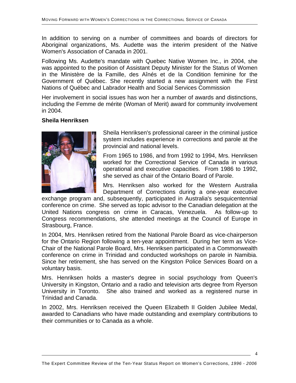In addition to serving on a number of committees and boards of directors for Aboriginal organizations, Ms. Audette was the interim president of the Native Women's Association of Canada in 2001.

Following Ms. Audette's mandate with Quebec Native Women Inc., in 2004, she was appointed to the position of Assistant Deputy Minister for the Status of Women in the Ministère de la Famille, des Aînés et de la Condition feminine for the Government of Québec. She recently started a new assignment with the First Nations of Québec and Labrador Health and Social Services Commission

Her involvement in social issues has won her a number of awards and distinctions, including the Femme de mérite (Woman of Merit) award for community involvement in 2004.

#### **Sheila Henriksen**



Sheila Henriksen's professional career in the criminal justice system includes experience in corrections and parole at the provincial and national levels.

From 1965 to 1986, and from 1992 to 1994, Mrs. Henriksen worked for the Correctional Service of Canada in various operational and executive capacities. From 1986 to 1992, she served as chair of the Ontario Board of Parole.

Mrs. Henriksen also worked for the Western Australia Department of Corrections during a one-year executive

exchange program and, subsequently, participated in Australia's sesquicentennial conference on crime. She served as topic advisor to the Canadian delegation at the United Nations congress on crime in Caracas, Venezuela. As follow-up to Congress recommendations, she attended meetings at the Council of Europe in Strasbourg, France.

In 2004, Mrs. Henriksen retired from the National Parole Board as vice-chairperson for the Ontario Region following a ten-year appointment. During her term as Vice-Chair of the National Parole Board, Mrs. Henriksen participated in a Commonwealth conference on crime in Trinidad and conducted workshops on parole in Namibia. Since her retirement, she has served on the Kingston Police Services Board on a voluntary basis.

Mrs. Henriksen holds a master's degree in social psychology from Queen's University in Kingston, Ontario and a radio and television arts degree from Ryerson University in Toronto. She also trained and worked as a registered nurse in Trinidad and Canada.

In 2002, Mrs. Henriksen received the Queen Elizabeth II Golden Jubilee Medal, awarded to Canadians who have made outstanding and exemplary contributions to their communities or to Canada as a whole.

4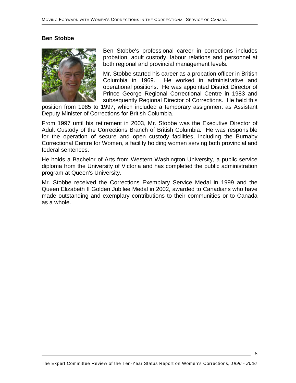## **Ben Stobbe**



Ben Stobbe's professional career in corrections includes probation, adult custody, labour relations and personnel at both regional and provincial management levels.

Mr. Stobbe started his career as a probation officer in British Columbia in 1969. He worked in administrative and operational positions. He was appointed District Director of Prince George Regional Correctional Centre in 1983 and subsequently Regional Director of Corrections. He held this

position from 1985 to 1997, which included a temporary assignment as Assistant Deputy Minister of Corrections for British Columbia.

From 1997 until his retirement in 2003, Mr. Stobbe was the Executive Director of Adult Custody of the Corrections Branch of British Columbia. He was responsible for the operation of secure and open custody facilities, including the Burnaby Correctional Centre for Women, a facility holding women serving both provincial and federal sentences.

He holds a Bachelor of Arts from Western Washington University, a public service diploma from the University of Victoria and has completed the public administration program at Queen's University.

Mr. Stobbe received the Corrections Exemplary Service Medal in 1999 and the Queen Elizabeth II Golden Jubilee Medal in 2002, awarded to Canadians who have made outstanding and exemplary contributions to their communities or to Canada as a whole.

5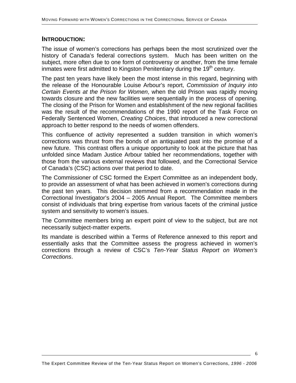## **INTRODUCTION:**

The issue of women's corrections has perhaps been the most scrutinized over the history of Canada's federal corrections system. Much has been written on the subject, more often due to one form of controversy or another, from the time female inmates were first admitted to Kingston Penitentiary during the  $19<sup>th</sup>$  century.

The past ten years have likely been the most intense in this regard, beginning with the release of the Honourable Louise Arbour's report, *Commission of Inquiry into Certain Events at the Prison for Women*, when the old Prison was rapidly moving towards closure and the new facilities were sequentially in the process of opening. The closing of the Prison for Women and establishment of the new regional facilities was the result of the recommendations of the 1990 report of the Task Force on Federally Sentenced Women, *Creating Choices*, that introduced a new correctional approach to better respond to the needs of women offenders.

This confluence of activity represented a sudden transition in which women's corrections was thrust from the bonds of an antiquated past into the promise of a new future. This contrast offers a unique opportunity to look at the picture that has unfolded since Madam Justice Arbour tabled her recommendations, together with those from the various external reviews that followed, and the Correctional Service of Canada's (CSC) actions over that period to date.

The Commissioner of CSC formed the Expert Committee as an independent body, to provide an assessment of what has been achieved in women's corrections during the past ten years. This decision stemmed from a recommendation made in the Correctional Investigator's 2004 – 2005 Annual Report. The Committee members consist of individuals that bring expertise from various facets of the criminal justice system and sensitivity to women's issues.

The Committee members bring an expert point of view to the subject, but are not necessarily subject-matter experts.

Its mandate is described within a Terms of Reference annexed to this report and essentially asks that the Committee assess the progress achieved in women's corrections through a review of CSC's *Ten-Year Status Report on Women's Corrections*.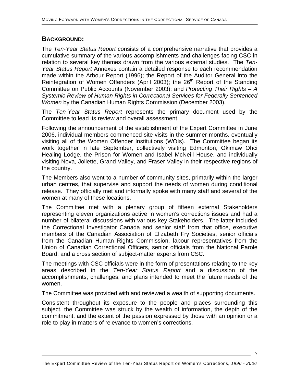## **BACKGROUND:**

The *Ten-Year Status Report* consists of a comprehensive narrative that provides a cumulative summary of the various accomplishments and challenges facing CSC in relation to several key themes drawn from the various external studies. The *Ten-Year Status Report* Annexes contain a detailed response to each recommendation made within the Arbour Report (1996); the Report of the Auditor General into the Reintegration of Women Offenders (April 2003); the  $26<sup>th</sup>$  Report of the Standing Committee on Public Accounts (November 2003); and *Protecting Their Rights – A Systemic Review of Human Rights in Correctional Services for Federally Sentenced Women* by the Canadian Human Rights Commission (December 2003).

The *Ten-Year Status Report* represents the primary document used by the Committee to lead its review and overall assessment.

Following the announcement of the establishment of the Expert Committee in June 2006, individual members commenced site visits in the summer months, eventually visiting all of the Women Offender Institutions (WOIs). The Committee began its work together in late September, collectively visiting Edmonton, Okimaw Ohci Healing Lodge, the Prison for Women and Isabel McNeill House, and individually visiting Nova, Joliette, Grand Valley, and Fraser Valley in their respective regions of the country.

The Members also went to a number of community sites, primarily within the larger urban centres, that supervise and support the needs of women during conditional release. They officially met and informally spoke with many staff and several of the women at many of these locations.

The Committee met with a plenary group of fifteen external Stakeholders representing eleven organizations active in women's corrections issues and had a number of bilateral discussions with various key Stakeholders. The latter included the Correctional Investigator Canada and senior staff from that office, executive members of the Canadian Association of Elizabeth Fry Societies, senior officials from the Canadian Human Rights Commission, labour representatives from the Union of Canadian Correctional Officers, senior officials from the National Parole Board, and a cross section of subject-matter experts from CSC.

The meetings with CSC officials were in the form of presentations relating to the key areas described in the *Ten-Year Status Report* and a discussion of the accomplishments, challenges, and plans intended to meet the future needs of the women.

The Committee was provided with and reviewed a wealth of supporting documents.

Consistent throughout its exposure to the people and places surrounding this subject, the Committee was struck by the wealth of information, the depth of the commitment, and the extent of the passion expressed by those with an opinion or a role to play in matters of relevance to women's corrections.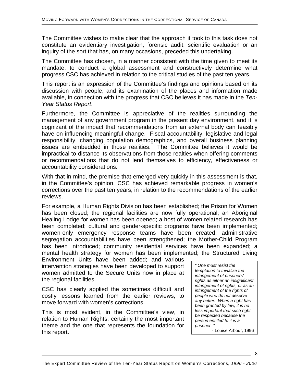The Committee wishes to make clear that the approach it took to this task does not constitute an evidentiary investigation, forensic audit, scientific evaluation or an inquiry of the sort that has, on many occasions, preceded this undertaking.

The Committee has chosen, in a manner consistent with the time given to meet its mandate, to conduct a global assessment and constructively determine what progress CSC has achieved in relation to the critical studies of the past ten years.

This report is an expression of the Committee's findings and opinions based on its discussion with people, and its examination of the places and information made available, in connection with the progress that CSC believes it has made in the *Ten-Year Status Report*.

Furthermore, the Committee is appreciative of the realities surrounding the management of any government program in the present day environment, and it is cognizant of the impact that recommendations from an external body can feasibly have on influencing meaningful change. Fiscal accountability, legislative and legal responsibility, changing population demographics, and overall business planning issues are embedded in those realities. The Committee believes it would be impractical to distance its observations from those realties when offering comments or recommendations that do not lend themselves to efficiency, effectiveness or accountability considerations.

With that in mind, the premise that emerged very quickly in this assessment is that, in the Committee's opinion, CSC has achieved remarkable progress in women's corrections over the past ten years, in relation to the recommendations of the earlier reviews.

For example, a Human Rights Division has been established; the Prison for Women has been closed; the regional facilities are now fully operational; an Aboriginal Healing Lodge for women has been opened; a host of women related research has been completed; cultural and gender-specific programs have been implemented; women-only emergency response teams have been created; administrative segregation accountabilities have been strengthened; the Mother-Child Program has been introduced; community residential services have been expanded; a mental health strategy for women has been implemented; the Structured Living

Environment Units have been added; and various intervention strategies have been developed to support women admitted to the Secure Units now in place at the regional facilities.

CSC has clearly applied the sometimes difficult and costly lessons learned from the earlier reviews, to move forward with women's corrections.

This is most evident, in the Committee's view, in relation to Human Rights, certainly the most important theme and the one that represents the foundation for this report.

*" One must resist the temptation to trivialize the infringement of prisoners' rights as either an insignificant infringement of rights, or as an infringement of the rights of people who do not deserve any better. When a right has been granted by law, it is no less important that such right be respected because the person entitled to it is a prisoner. "*  - Louise Arbour, 1996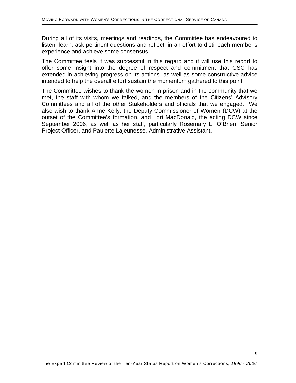During all of its visits, meetings and readings, the Committee has endeavoured to listen, learn, ask pertinent questions and reflect, in an effort to distil each member's experience and achieve some consensus.

The Committee feels it was successful in this regard and it will use this report to offer some insight into the degree of respect and commitment that CSC has extended in achieving progress on its actions, as well as some constructive advice intended to help the overall effort sustain the momentum gathered to this point.

The Committee wishes to thank the women in prison and in the community that we met, the staff with whom we talked, and the members of the Citizens' Advisory Committees and all of the other Stakeholders and officials that we engaged. We also wish to thank Anne Kelly, the Deputy Commissioner of Women (DCW) at the outset of the Committee's formation, and Lori MacDonald, the acting DCW since September 2006, as well as her staff, particularly Rosemary L. O'Brien, Senior Project Officer, and Paulette Lajeunesse, Administrative Assistant.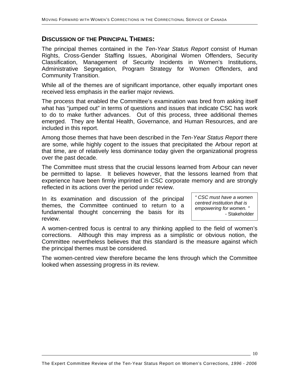## **DISCUSSION OF THE PRINCIPAL THEMES:**

The principal themes contained in the *Ten-Year Status Report* consist of Human Rights, Cross-Gender Staffing Issues, Aboriginal Women Offenders, Security Classification, Management of Security Incidents in Women's Institutions, Administrative Segregation, Program Strategy for Women Offenders, and Community Transition.

While all of the themes are of significant importance, other equally important ones received less emphasis in the earlier major reviews.

The process that enabled the Committee's examination was bred from asking itself what has "jumped out" in terms of questions and issues that indicate CSC has work to do to make further advances. Out of this process, three additional themes emerged. They are Mental Health, Governance, and Human Resources, and are included in this report.

Among those themes that have been described in the *Ten-Year Status Report* there are some, while highly cogent to the issues that precipitated the Arbour report at that time, are of relatively less dominance today given the organizational progress over the past decade.

The Committee must stress that the crucial lessons learned from Arbour can never be permitted to lapse. It believes however, that the lessons learned from that experience have been firmly imprinted in CSC corporate memory and are strongly reflected in its actions over the period under review.

In its examination and discussion of the principal themes, the Committee continued to return to a fundamental thought concerning the basis for its review.

*" CSC must have a women centred institution that is empowering for women. "*  - Stakeholder

A women-centred focus is central to any thinking applied to the field of women's corrections. Although this may impress as a simplistic or obvious notion, the Committee nevertheless believes that this standard is the measure against which the principal themes must be considered.

The women-centred view therefore became the lens through which the Committee looked when assessing progress in its review.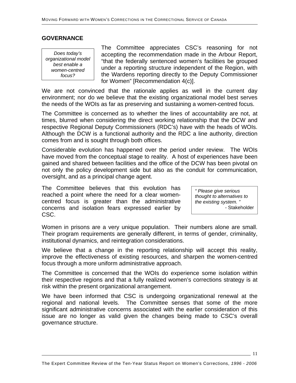#### **GOVERNANCE**

*Does today's organizational model best enable a women-centred focus?*

The Committee appreciates CSC's reasoning for not accepting the recommendation made in the Arbour Report, "that the federally sentenced women's facilities be grouped under a reporting structure independent of the Region, with the Wardens reporting directly to the Deputy Commissioner for Women" [Recommendation 4(c)].

We are not convinced that the rationale applies as well in the current day environment; nor do we believe that the existing organizational model best serves the needs of the WOIs as far as preserving and sustaining a women-centred focus.

The Committee is concerned as to whether the lines of accountability are not, at times, blurred when considering the direct working relationship that the DCW and respective Regional Deputy Commissioners (RDC's) have with the heads of WOIs. Although the DCW is a functional authority and the RDC a line authority, direction comes from and is sought through both offices.

Considerable evolution has happened over the period under review. The WOIs have moved from the conceptual stage to reality. A host of experiences have been gained and shared between facilities and the office of the DCW has been pivotal on not only the policy development side but also as the conduit for communication, oversight, and as a principal change agent.

The Committee believes that this evolution has reached a point where the need for a clear womencentred focus is greater than the administrative concerns and isolation fears expressed earlier by CSC.

*" Please give serious thought to alternatives to the existing system. "*  - Stakeholder

Women in prisons are a very unique population. Their numbers alone are small. Their program requirements are generally different, in terms of gender, criminality, institutional dynamics, and reintegration considerations.

We believe that a change in the reporting relationship will accept this reality, improve the effectiveness of existing resources, and sharpen the women-centred focus through a more uniform administrative approach.

The Committee is concerned that the WOIs do experience some isolation within their respective regions and that a fully realized women's corrections strategy is at risk within the present organizational arrangement.

We have been informed that CSC is undergoing organizational renewal at the regional and national levels. The Committee senses that some of the more significant administrative concerns associated with the earlier consideration of this issue are no longer as valid given the changes being made to CSC's overall governance structure.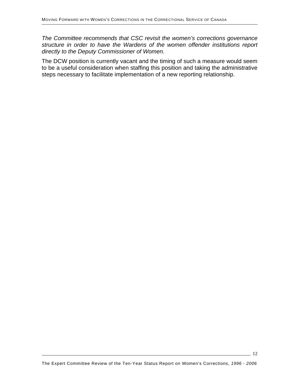*The Committee recommends that CSC revisit the women's corrections governance structure in order to have the Wardens of the women offender institutions report directly to the Deputy Commissioner of Women.*

The DCW position is currently vacant and the timing of such a measure would seem to be a useful consideration when staffing this position and taking the administrative steps necessary to facilitate implementation of a new reporting relationship.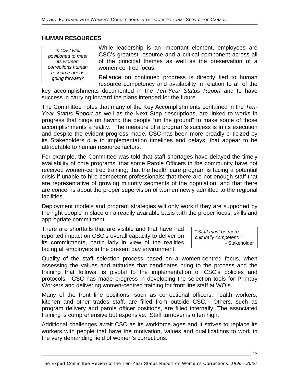#### **HUMAN RESOURCES**

*Is CSC well positioned to meet its women corrections human resource needs* 

While leadership is an important element, employees are CSC's greatest resource and a critical component across all of the principal themes as well as the preservation of a women-centred focus.

*going forward?* Reliance on continued progress is directly tied to human resource competency and availability in relation to all of the

key accomplishments documented in the *Ten-Year Status Report* and to have success in carrying forward the plans intended for the future.

The Committee notes that many of the Key Accomplishments contained in the *Ten-Year Status Report* as well as the Next Step descriptions, are linked to works in progress that hinge on having the people "on the ground" to make some of those accomplishments a reality. The measure of a program's success is in its execution and despite the evident progress made, CSC has been more broadly criticized by its Stakeholders due to implementation timelines and delays, that appear to be attributable to human resource factors.

For example, the Committee was told that staff shortages have delayed the timely availability of core programs; that some Parole Officers in the community have not received women-centred training; that the health care program is facing a potential crisis if unable to hire competent professionals; that there are not enough staff that are representative of growing minority segments of the population; and that there are concerns about the proper supervision of women newly admitted to the regional facilities.

Deployment models and program strategies will only work if they are supported by the right people in place on a readily available basis with the proper focus, skills and appropriate commitment.

There are shortfalls that are visible and that have had reported impact on CSC's overall capacity to deliver on its commitments, particularly in view of the realities facing all employers in the present day environment.

*" Staff must be more culturally competent. "*  - Stakeholder

Quality of the staff selection process based on a women-centred focus, when assessing the values and attitudes that candidates bring to the process and the training that follows, is pivotal to the implementation of CSC's policies and protocols. CSC has made progress in developing the selection tools for Primary Workers and delivering women-centred training for front line staff at WOIs.

Many of the front line positions, such as correctional officers, health workers, kitchen and other trades staff, are filled from outside CSC. Others, such as program delivery and parole officer positions, are filled internally. The associated training is comprehensive but expensive. Staff turnover is often high.

Additional challenges await CSC as its workforce ages and it strives to replace its workers with people that have the motivation, values and qualifications to work in the very demanding field of women's corrections.

 $\overline{\phantom{0}}$  13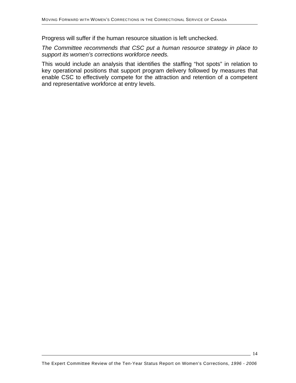Progress will suffer if the human resource situation is left unchecked.

*The Committee recommends that CSC put a human resource strategy in place to support its women's corrections workforce needs.*

This would include an analysis that identifies the staffing "hot spots" in relation to key operational positions that support program delivery followed by measures that enable CSC to effectively compete for the attraction and retention of a competent and representative workforce at entry levels.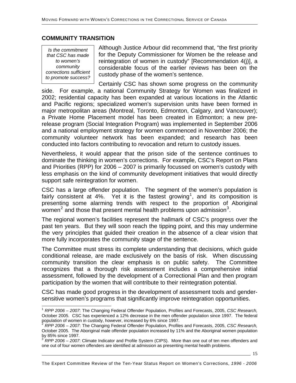#### **COMMUNITY TRANSITION**

*Is the commitment that CSC has made to women's community corrections sufficient to promote success?* 

 $\overline{\phantom{a}}$ 

Although Justice Arbour did recommend that, "the first priority for the Deputy Commissioner for Women be the release and reintegration of women in custody" [Recommendation 4(j)], a considerable focus of the earlier reviews has been on the custody phase of the women's sentence.

Certainly CSC has shown some progress on the community side. For example, a national Community Strategy for Women was finalized in 2002; residential capacity has been expanded at various locations in the Atlantic and Pacific regions; specialized women's supervision units have been formed in major metropolitan areas (Montreal, Toronto, Edmonton, Calgary, and Vancouver); a Private Home Placement model has been created in Edmonton; a new prerelease program (Social Integration Program) was implemented in September 2006 and a national employment strategy for women commenced in November 2006; the community volunteer network has been expanded; and research has been conducted into factors contributing to revocation and return to custody issues.

Nevertheless, it would appear that the prison side of the sentence continues to dominate the thinking in women's corrections. For example, CSC's Report on Plans and Priorities (RPP) for 2006 – 2007 is primarily focussed on women's custody with less emphasis on the kind of community development initiatives that would directly support safe reintegration for women.

CSC has a large offender population. The segment of the women's population is fairly consistent at 4%. Yet it is the fastest growing<sup>[1](#page-14-0)</sup>, and its composition is presenting some alarming trends with respect to the proportion of Aboriginal women<sup>[2](#page-14-1)</sup> and those that present mental health problems upon admission<sup>[3](#page-14-2)</sup>.

The regional women's facilities represent the hallmark of CSC's progress over the past ten years. But they will soon reach the tipping point, and this may undermine the very principles that guided their creation in the absence of a clear vision that more fully incorporates the community stage of the sentence.

The Committee must stress its complete understanding that decisions, which guide conditional release, are made exclusively on the basis of risk. When discussing community transition the clear emphasis is on public safety. The Committee recognizes that a thorough risk assessment includes a comprehensive initial assessment, followed by the development of a Correctional Plan and then program participation by the women that will contribute to their reintegration potential.

CSC has made good progress in the development of assessment tools and gendersensitive women's programs that significantly improve reintegration opportunities.

 $-15$ 

<span id="page-14-0"></span><sup>1</sup> *RPP 2006 – 2007*: The Changing Federal Offender Population, Profiles and Forecasts, 2005, *CSC Research,* October 2005. CSC has experienced a 12% decrease in the men offender population since 1997. The federal population of women in custody, however, increased by 6% since 1997. 2 *RPP 2006 – 2007*: The Changing Federal Offender Population, Profiles and Forecasts, 2005, *CSC Research,*

<span id="page-14-1"></span>October 2005. The Aboriginal male offender population increased by 11% and the Aboriginal women population by 85% since 1997.

<span id="page-14-2"></span><sup>3</sup> *RPP 2006 – 2007*: Climate Indicator and Profile System (CIPS). More than one out of ten men offenders and one out of four women offenders are identified at admission as presenting mental health problems.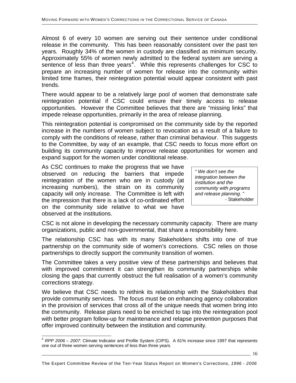Almost 6 of every 10 women are serving out their sentence under conditional release in the community. This has been reasonably consistent over the past ten years. Roughly 34% of the women in custody are classified as minimum security. Approximately 55% of women newly admitted to the federal system are serving a sentence of less than three years<sup>[4](#page-15-0)</sup>. While this represents challenges for CSC to prepare an increasing number of women for release into the community within limited time frames, their reintegration potential would appear consistent with past trends.

There would appear to be a relatively large pool of women that demonstrate safe reintegration potential if CSC could ensure their timely access to release opportunities. However the Committee believes that there are "missing links" that impede release opportunities, primarily in the area of release planning.

This reintegration potential is compromised on the community side by the reported increase in the numbers of women subject to revocation as a result of a failure to comply with the conditions of release, rather than criminal behaviour. This suggests to the Committee, by way of an example, that CSC needs to focus more effort on building its community capacity to improve release opportunities for women and expand support for the women under conditional release.

As CSC continues to make the progress that we have observed on reducing the barriers that impede reintegration of the women who are in custody (at increasing numbers), the strain on its community capacity will only increase. The Committee is left with the impression that there is a lack of co-ordinated effort on the community side relative to what we have observed at the institutions.

l

*" We don't see the integration between the institution and the community with programs and release planning. "*  - Stakeholder

CSC is not alone in developing the necessary community capacity. There are many organizations, public and non-governmental, that share a responsibility here.

The relationship CSC has with its many Stakeholders shifts into one of true partnership on the community side of women's corrections. CSC relies on those partnerships to directly support the community transition of women.

The Committee takes a very positive view of these partnerships and believes that with improved commitment it can strengthen its community partnerships while closing the gaps that currently obstruct the full realisation of a women's community corrections strategy.

We believe that CSC needs to rethink its relationship with the Stakeholders that provide community services. The focus must be on enhancing agency collaboration in the provision of services that cross all of the unique needs that women bring into the community. Release plans need to be enriched to tap into the reintegration pool with better program follow-up for maintenance and relapse prevention purposes that offer improved continuity between the institution and community.

<span id="page-15-0"></span><sup>4</sup> *RPP 2006 – 2007*: Climate Indicator and Profile System (CIPS). A 61% increase since 1997 that represents one out of three women serving sentences of less than three years.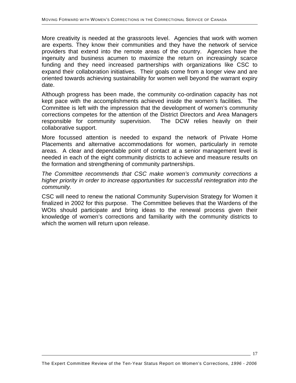More creativity is needed at the grassroots level. Agencies that work with women are experts. They know their communities and they have the network of service providers that extend into the remote areas of the country. Agencies have the ingenuity and business acumen to maximize the return on increasingly scarce funding and they need increased partnerships with organizations like CSC to expand their collaboration initiatives. Their goals come from a longer view and are oriented towards achieving sustainability for women well beyond the warrant expiry date.

Although progress has been made, the community co-ordination capacity has not kept pace with the accomplishments achieved inside the women's facilities. The Committee is left with the impression that the development of women's community corrections competes for the attention of the District Directors and Area Managers responsible for community supervision. The DCW relies heavily on their collaborative support.

More focussed attention is needed to expand the network of Private Home Placements and alternative accommodations for women, particularly in remote areas. A clear and dependable point of contact at a senior management level is needed in each of the eight community districts to achieve and measure results on the formation and strengthening of community partnerships.

*The Committee recommends that CSC make women's community corrections a higher priority in order to increase opportunities for successful reintegration into the community.*

CSC will need to renew the national Community Supervision Strategy for Women it finalized in 2002 for this purpose. The Committee believes that the Wardens of the WOIs should participate and bring ideas to the renewal process given their knowledge of women's corrections and familiarity with the community districts to which the women will return upon release.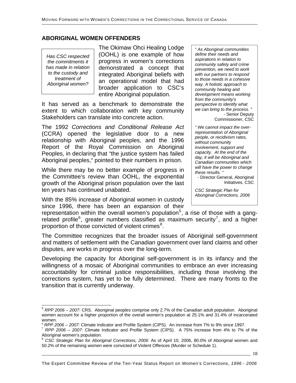## **ABORIGINAL WOMEN OFFENDERS**

*Has CSC respected the commitments it has made in relation to the custody and treatment of Aboriginal women?* 

The Okimaw Ohci Healing Lodge (OOHL) is one example of how progress in women's corrections demonstrated a concept that integrated Aboriginal beliefs with an operational model that had broader application to CSC's entire Aboriginal population.

It has served as a benchmark to demonstrate the extent to which collaboration with key community Stakeholders can translate into concrete action.

The 1992 *Corrections and Conditional Release Act* (CCRA) opened the legislative door to a new relationship with Aboriginal peoples, and the 1996 Report of the Royal Commission on Aboriginal Peoples, in declaring that "the justice system has failed Aboriginal peoples," pointed to their numbers in prison.

While there may be no better example of progress in the Committee's review than OOHL, the exponential growth of the Aboriginal prison population over the last ten years has continued unabated.

With the 85% increase of Aboriginal women in custody since 1996, there has been an expansion of their

*" As Aboriginal communities define their needs and aspirations in relation to community safety and crime prevention, we need to work with our partners to respond to those needs in a cohesive way. A holistic approach to community healing and development means working from the community's perspective to identify what we can bring to the process. "*  - Senior Deputy Commissioner, CSC

*" We cannot impact the overrepresentation of Aboriginal people, or recidivism rates, without community involvement, support and capacity. At the end of the day, it will be Aboriginal and Canadian communities which will have the power to change these results. "* 

- Director General, Aboriginal Initiatives, CSC

*CSC Strategic Plan for Aboriginal Corrections, 2006* 

representation within the overall women's population<sup>[5](#page-17-0)</sup>, a rise of those with a gang-related profile<sup>[6](#page-17-1)</sup>, greater numbers classified as maximum security<sup>[7](#page-17-2)</sup>, and a higher proportion of those convicted of violent crimes<sup>[8](#page-17-3)</sup>.

The Committee recognizes that the broader issues of Aboriginal self-government and matters of settlement with the Canadian government over land claims and other disputes, are works in progress over the long-term.

Developing the capacity for Aboriginal self-government is in its infancy and the willingness of a mosaic of Aboriginal communities to embrace an ever increasing accountability for criminal justice responsibilities, including those involving the corrections system, has yet to be fully determined. There are many fronts to the transition that is currently underway.

18

<span id="page-17-0"></span>l <sup>5</sup> *RPP 2006 – 2007*: CRS. Aboriginal peoples comprise only 2.7% of the Canadian adult population. Aboriginal women account for a higher proportion of the overall women's population at 25.1% and 31.4% of incarcerated

<span id="page-17-1"></span>women.<br><sup>6</sup> RPP 2006 – 2007: Climate Indicator and Profile System (CIPS). An increase from 7% to 9% since 1997.

<span id="page-17-2"></span><sup>&</sup>lt;sup>7</sup> RPP 2006 – 2007: Climate Indicator and Profile System (CIPS). A 75% increase from 4% to 7% of the Aboriginal women's population.

<span id="page-17-3"></span><sup>8</sup> *CSC Strategic Plan for Aboriginal Corrections, 2006*: As of April 10, 2006, 80.0% of Aboriginal women and 50.2% of the remaining women were convicted of Violent Offences (Murder or Schedule 1).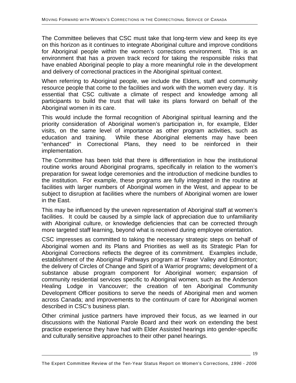The Committee believes that CSC must take that long-term view and keep its eye on this horizon as it continues to integrate Aboriginal culture and improve conditions for Aboriginal people within the women's corrections environment. This is an environment that has a proven track record for taking the responsible risks that have enabled Aboriginal people to play a more meaningful role in the development and delivery of correctional practices in the Aboriginal spiritual context.

When referring to Aboriginal people, we include the Elders, staff and community resource people that come to the facilities and work with the women every day. It is essential that CSC cultivate a climate of respect and knowledge among all participants to build the trust that will take its plans forward on behalf of the Aboriginal women in its care.

This would include the formal recognition of Aboriginal spiritual learning and the priority consideration of Aboriginal women's participation in, for example, Elder visits, on the same level of importance as other program activities, such as education and training. While these Aboriginal elements may have been "enhanced" in Correctional Plans, they need to be reinforced in their implementation.

The Committee has been told that there is differentiation in how the institutional routine works around Aboriginal programs, specifically in relation to the women's preparation for sweat lodge ceremonies and the introduction of medicine bundles to the institution. For example, these programs are fully integrated in the routine at facilities with larger numbers of Aboriginal women in the West, and appear to be subject to disruption at facilities where the numbers of Aboriginal women are lower in the East.

This may be influenced by the uneven representation of Aboriginal staff at women's facilities. It could be caused by a simple lack of appreciation due to unfamiliarity with Aboriginal culture, or knowledge deficiencies that can be corrected through more targeted staff learning, beyond what is received during employee orientation.

CSC impresses as committed to taking the necessary strategic steps on behalf of Aboriginal women and its Plans and Priorities as well as its Strategic Plan for Aboriginal Corrections reflects the degree of its commitment. Examples include, establishment of the Aboriginal Pathways program at Fraser Valley and Edmonton; the delivery of Circles of Change and Spirit of a Warrior programs; development of a substance abuse program component for Aboriginal women; expansion of community residential services specific to Aboriginal women, such as the Anderson Healing Lodge in Vancouver; the creation of ten Aboriginal Community Development Officer positions to serve the needs of Aboriginal men and women across Canada; and improvements to the continuum of care for Aboriginal women described in CSC's business plan.

Other criminal justice partners have improved their focus, as we learned in our discussions with the National Parole Board and their work on extending the best practice experience they have had with Elder Assisted hearings into gender-specific and culturally sensitive approaches to their other panel hearings.

The Expert Committee Review of the Ten-Year Status Report on Women's Corrections, *1996 - 2006*

19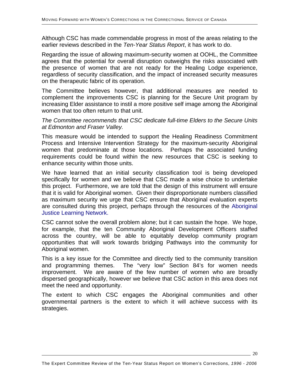Although CSC has made commendable progress in most of the areas relating to the earlier reviews described in the *Ten-Year Status Report*, it has work to do.

Regarding the issue of allowing maximum-security women at OOHL, the Committee agrees that the potential for overall disruption outweighs the risks associated with the presence of women that are not ready for the Healing Lodge experience, regardless of security classification, and the impact of increased security measures on the therapeutic fabric of its operation.

The Committee believes however, that additional measures are needed to complement the improvements CSC is planning for the Secure Unit program by increasing Elder assistance to instil a more positive self image among the Aboriginal women that too often return to that unit.

*The Committee recommends that CSC dedicate full-time Elders to the Secure Units at Edmonton and Fraser Valley.*

This measure would be intended to support the Healing Readiness Commitment Process and Intensive Intervention Strategy for the maximum-security Aboriginal women that predominate at those locations. Perhaps the associated funding requirements could be found within the new resources that CSC is seeking to enhance security within those units.

We have learned that an initial security classification tool is being developed specifically for women and we believe that CSC made a wise choice to undertake this project. Furthermore, we are told that the design of this instrument will ensure that it is valid for Aboriginal women. Given their disproportionate numbers classified as maximum security we urge that CSC ensure that Aboriginal evaluation experts are consulted during this project, perhaps through the resources of the Aboriginal Justice Learning Network.

CSC cannot solve the overall problem alone; but it can sustain the hope. We hope, for example, that the ten Community Aboriginal Development Officers staffed across the country, will be able to equitably develop community program opportunities that will work towards bridging Pathways into the community for Aboriginal women.

This is a key issue for the Committee and directly tied to the community transition and programming themes. The "very low" Section 84's for women needs improvement. We are aware of the few number of women who are broadly dispersed geographically, however we believe that CSC action in this area does not meet the need and opportunity.

The extent to which CSC engages the Aboriginal communities and other governmental partners is the extent to which it will achieve success with its strategies.

 $-20$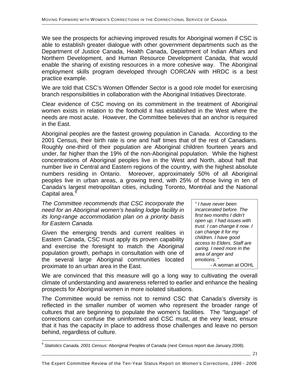We see the prospects for achieving improved results for Aboriginal women if CSC is able to establish greater dialogue with other government departments such as the Department of Justice Canada, Health Canada, Department of Indian Affairs and Northern Development, and Human Resource Development Canada, that would enable the sharing of existing resources in a more cohesive way. The Aboriginal employment skills program developed through CORCAN with HRDC is a best practice example.

We are told that CSC's Women Offender Sector is a good role model for exercising branch responsibilities in collaboration with the Aboriginal Initiatives Directorate.

Clear evidence of CSC moving on its commitment in the treatment of Aboriginal women exists in relation to the foothold it has established in the West where the needs are most acute. However, the Committee believes that an anchor is required in the East.

Aboriginal peoples are the fastest growing population in Canada. According to the 2001 Census, their birth rate is one and half times that of the rest of Canadians. Roughly one-third of their population are Aboriginal children fourteen years and under, far higher than the 19% of the non-Aboriginal population. While the highest concentrations of Aboriginal peoples live in the West and North, about half that number live in Central and Eastern regions of the country, with the highest absolute numbers residing in Ontario. Moreover, approximately 50% of all Aboriginal peoples live in urban areas, a growing trend, with 25% of those living in ten of Canada's largest metropolitan cities, including Toronto, Montréal and the National Capital area.<sup>8</sup>

*The Committee recommends that CSC incorporate the need for an Aboriginal women's healing lodge facility in its long-range accommodation plan on a priority basis for Eastern Canada.* 

Given the emerging trends and current realities in Eastern Canada, CSC must apply its proven capability and exercise the foresight to match the Aboriginal population growth, perhaps in consultation with one of the several large Aboriginal communities located proximate to an urban area in the East.

l

*" I have never been incarcerated before. The first two months I didn't open up. I had issues with trust. I can change it now. I can change it for my children. I have good access to Elders. Staff are caring. I need more in the area of anger and emotions. "*  - A woman at OOHL

We are convinced that this measure will go a long way to cultivating the overall climate of understanding and awareness referred to earlier and enhance the healing prospects for Aboriginal women in more isolated situations.

The Committee would be remiss not to remind CSC that Canada's diversity is reflected in the smaller number of women who represent the broader range of cultures that are beginning to populate the women's facilities. The "language" of corrections can confuse the uninformed and CSC must, at the very least, ensure that it has the capacity in place to address those challenges and leave no person behind, regardless of culture.

21

<span id="page-20-0"></span><sup>9</sup> *Statistics Canada, 2001 Census:* Aboriginal Peoples of Canada (next Census report due January 2008).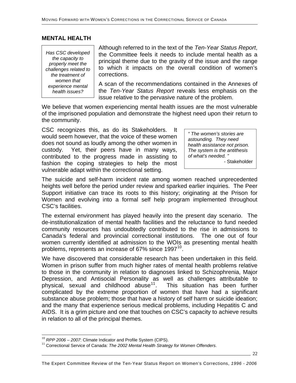#### **MENTAL HEALTH**

*Has CSC developed the capacity to properly meet the challenges related to the treatment of women that experience mental health issues?* 

Although referred to in the text of the *Ten-Year Status Report*, the Committee feels it needs to include mental health as a principal theme due to the gravity of the issue and the range to which it impacts on the overall condition of women's corrections.

A scan of the recommendations contained in the Annexes of the *Ten-Year Status Report* reveals less emphasis on the issue relative to the pervasive nature of the problem.

We believe that women experiencing mental health issues are the most vulnerable of the imprisoned population and demonstrate the highest need upon their return to the community.

CSC recognizes this, as do its Stakeholders. It would seem however, that the voice of these women does not sound as loudly among the other women in custody. Yet, their peers have in many ways, contributed to the progress made in assisting to fashion the coping strategies to help the most vulnerable adapt within the correctional setting.

*" The women's stories are astounding. They need health assistance not prison. The system is the antithesis of what's needed. "*  - Stakeholder

 $\sim$  22

The suicide and self-harm incident rate among women reached unprecedented heights well before the period under review and sparked earlier inquiries. The Peer Support initiative can trace its roots to this history; originating at the Prison for Women and evolving into a formal self help program implemented throughout CSC's facilities.

The external environment has played heavily into the present day scenario. The de-institutionalization of mental health facilities and the reluctance to fund needed community resources has undoubtedly contributed to the rise in admissions to Canada's federal and provincial correctional institutions. The one out of four women currently identified at admission to the WOIs as presenting mental health problems, represents an increase of 67% since 1997<sup>[10](#page-21-0)</sup>.

We have discovered that considerable research has been undertaken in this field. Women in prison suffer from much higher rates of mental health problems relative to those in the community in relation to diagnoses linked to Schizophrenia, Major Depression, and Antisocial Personality as well as challenges attributable to physical, sexual and childhood abuse<sup>[11](#page-21-1)</sup>. This situation has been further complicated by the extreme proportion of women that have had a significant substance abuse problem; those that have a history of self harm or suicide ideation; and the many that experience serious medical problems, including Hepatitis C and AIDS. It is a grim picture and one that touches on CSC's capacity to achieve results in relation to all of the principal themes.

l

<span id="page-21-0"></span><sup>10</sup> *RPP 2006 – 2007*: Climate Indicator and Profile System (CIPS).

<span id="page-21-1"></span><sup>&</sup>lt;sup>11</sup> Correctional Service of Canada: The 2002 Mental Health Strategy for Women Offenders.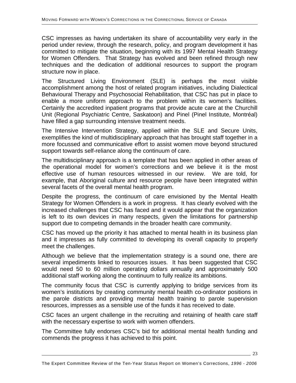CSC impresses as having undertaken its share of accountability very early in the period under review, through the research, policy, and program development it has committed to mitigate the situation, beginning with its 1997 Mental Health Strategy for Women Offenders. That Strategy has evolved and been refined through new techniques and the dedication of additional resources to support the program structure now in place.

The Structured Living Environment (SLE) is perhaps the most visible accomplishment among the host of related program initiatives, including Dialectical Behavioural Therapy and Psychosocial Rehabilitation, that CSC has put in place to enable a more uniform approach to the problem within its women's facilities. Certainly the accredited inpatient programs that provide acute care at the Churchill Unit (Regional Psychiatric Centre, Saskatoon) and Pinel (Pinel Institute, Montréal) have filled a gap surrounding intensive treatment needs.

The Intensive Intervention Strategy, applied within the SLE and Secure Units, exemplifies the kind of multidisciplinary approach that has brought staff together in a more focussed and communicative effort to assist women move beyond structured support towards self-reliance along the continuum of care.

The multidisciplinary approach is a template that has been applied in other areas of the operational model for women's corrections and we believe it is the most effective use of human resources witnessed in our review. We are told, for example, that Aboriginal culture and resource people have been integrated within several facets of the overall mental health program.

Despite the progress, the continuum of care envisioned by the Mental Health Strategy for Women Offenders is a work in progress. It has clearly evolved with the increased challenges that CSC has faced and it would appear that the organization is left to its own devices in many respects, given the limitations for partnership support due to competing demands in the broader health care community.

CSC has moved up the priority it has attached to mental health in its business plan and it impresses as fully committed to developing its overall capacity to properly meet the challenges.

Although we believe that the implementation strategy is a sound one, there are several impediments linked to resources issues. It has been suggested that CSC would need 50 to 60 million operating dollars annually and approximately 500 additional staff working along the continuum to fully realize its ambitions.

The community focus that CSC is currently applying to bridge services from its women's institutions by creating community mental health co-ordinator positions in the parole districts and providing mental health training to parole supervision resources, impresses as a sensible use of the funds it has received to date.

CSC faces an urgent challenge in the recruiting and retaining of health care staff with the necessary expertise to work with women offenders.

The Committee fully endorses CSC's bid for additional mental health funding and commends the progress it has achieved to this point.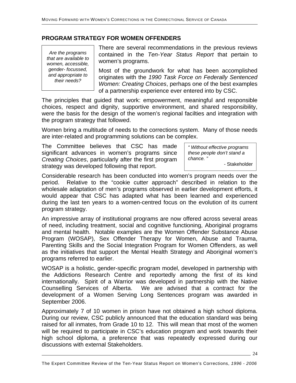## **PROGRAM STRATEGY FOR WOMEN OFFENDERS**

*Are the programs that are available to women, accessible, gender- focussed, and appropriate to their needs?* 

There are several recommendations in the previous reviews contained in the *Ten-Year Status Report* that pertain to women's programs.

Most of the groundwork for what has been accomplished originates with the *1990 Task Force on Federally Sentenced Women: Creating Choices*, perhaps one of the best examples of a partnership experience ever entered into by CSC.

The principles that guided that work: empowerment, meaningful and responsible choices, respect and dignity, supportive environment, and shared responsibility, were the basis for the design of the women's regional facilties and integration with the program strategy that followed.

Women bring a multitude of needs to the corrections system. Many of those needs are inter-related and programming solutions can be complex.

The Committee believes that CSC has made significant advances in women's programs since *Creating Choices*, particularly after the first program strategy was developed following that report.

*" Without effective programs these people don't stand a chance. "*  - Stakeholder

Considerable research has been conducted into women's program needs over the period. Relative to the "cookie cutter approach" described in relation to the wholesale adaptation of men's programs observed in earlier development efforts, it would appear that CSC has adapted what has been learned and experienced during the last ten years to a women-centred focus on the evolution of its current program strategy.

An impressive array of institutional programs are now offered across several areas of need, including treatment, social and cognitive functioning, Aboriginal programs and mental health. Notable examples are the Women Offender Substance Abuse Program (WOSAP), Sex Offender Therapy for Women, Abuse and Trauma, Parenting Skills and the Social Integration Program for Women Offenders, as well as the initiatives that support the Mental Health Strategy and Aboriginal women's programs referred to earlier.

WOSAP is a holistic, gender-specific program model, developed in partnership with the Addictions Research Centre and reportedly among the first of its kind internationally. Spirit of a Warrior was developed in partnership with the Native Counselling Services of Alberta. We are advised that a contract for the development of a Women Serving Long Sentences program was awarded in September 2006.

Approximately 7 of 10 women in prison have not obtained a high school diploma. During our review, CSC publicly announced that the education standard was being raised for all inmates, from Grade 10 to 12. This will mean that most of the women will be required to participate in CSC's education program and work towards their high school diploma, a preference that was repeatedly expressed during our discussions with external Stakeholders.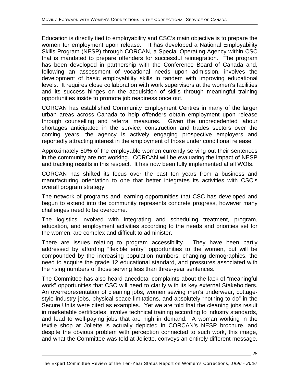Education is directly tied to employability and CSC's main objective is to prepare the women for employment upon release. It has developed a National Employability Skills Program (NESP) through CORCAN, a Special Operating Agency within CSC that is mandated to prepare offenders for successful reintegration. The program has been developed in partnership with the Conference Board of Canada and, following an assessment of vocational needs upon admission, involves the development of basic employability skills in tandem with improving educational levels. It requires close collaboration with work supervisors at the women's facilities and its success hinges on the acquisition of skills through meaningful training opportunities inside to promote job readiness once out.

CORCAN has established Community Employment Centres in many of the larger urban areas across Canada to help offenders obtain employment upon release through counselling and referral measures. Given the unprecedented labour shortages anticipated in the service, construction and trades sectors over the coming years, the agency is actively engaging prospective employers and reportedly attracting interest in the employment of those under conditional release.

Approximately 50% of the employable women currently serving out their sentences in the community are not working. CORCAN will be evaluating the impact of NESP and tracking results in this respect. It has now been fully implemented at all WOIs.

CORCAN has shifted its focus over the past ten years from a business and manufacturing orientation to one that better integrates its activities with CSC's overall program strategy.

The network of programs and learning opportunities that CSC has developed and begun to extend into the community represents concrete progress, however many challenges need to be overcome.

The logistics involved with integrating and scheduling treatment, program, education, and employment activities according to the needs and priorities set for the women, are complex and difficult to administer.

There are issues relating to program accessibility. They have been partly addressed by affording "flexible entry" opportunities to the women, but will be compounded by the increasing population numbers, changing demographics, the need to acquire the grade 12 educational standard, and pressures associated with the rising numbers of those serving less than three-year sentences.

The Committee has also heard anecdotal complaints about the lack of "meaningful work" opportunities that CSC will need to clarify with its key external Stakeholders. An overrepresentation of cleaning jobs, women sewing men's underwear, cottagestyle industry jobs, physical space limitations, and absolutely "nothing to do" in the Secure Units were cited as examples. Yet we are told that the cleaning jobs result in marketable certificates, involve technical training according to industry standards, and lead to well-paying jobs that are high in demand. A woman working in the textile shop at Joliette is actually depicted in CORCAN's NESP brochure, and despite the obvious problem with perception connected to such work, this image, and what the Committee was told at Joliette, conveys an entirely different message.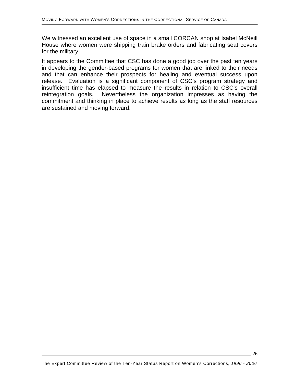We witnessed an excellent use of space in a small CORCAN shop at Isabel McNeill House where women were shipping train brake orders and fabricating seat covers for the military.

It appears to the Committee that CSC has done a good job over the past ten years in developing the gender-based programs for women that are linked to their needs and that can enhance their prospects for healing and eventual success upon release. Evaluation is a significant component of CSC's program strategy and insufficient time has elapsed to measure the results in relation to CSC's overall reintegration goals. Nevertheless the organization impresses as having the commitment and thinking in place to achieve results as long as the staff resources are sustained and moving forward.

26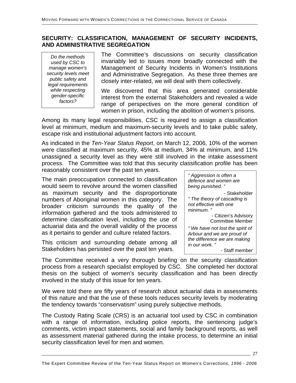#### **SECURITY: CLASSIFICATION, MANAGEMENT OF SECURITY INCIDENTS, AND ADMINISTRATIVE SEGREGATION**

*Do the methods used by CSC to manage women's security levels meet public safety and legal requirements while respecting gender-specific factors?* 

The Committee's discussions on security classification invariably led to issues more broadly connected with the Management of Security Incidents in Women's Institutions and Administrative Segregation. As these three themes are closely inter-related, we will deal with them collectively.

We discovered that this area generated considerable interest from the external Stakeholders and revealed a wide range of perspectives on the more general condition of women in prison, including the abolition of women's prisons.

Among its many legal responsibilities, CSC is required to assign a classification level at minimum, medium and maximum-security levels and to take public safety, escape risk and institutional adjustment factors into account.

As indicated in the *Ten-Year Status Report*, on March 12, 2006, 10% of the women were classified at maximum security, 45% at medium, 34% at minimum, and 11% unassigned a security level as they were still involved in the intake assessment process. The Committee was told that this security classification profile has been reasonably consistent over the past ten years.

The main preoccupation connected to classification would seem to revolve around the women classified as maximum security and the disproportionate numbers of Aboriginal women in this category. The broader criticism surrounds the quality of the information gathered and the tools administered to determine classification level, including the use of actuarial data and the overall validity of the process as it pertains to gender and culture related factors.

This criticism and surrounding debate among all Stakeholders has persisted over the past ten years.



The Committee received a very thorough briefing on the security classification process from a research specialist employed by CSC. She completed her doctoral thesis on the subject of women's security classification and has been directly involved in the study of this issue for ten years.

We were told there are fifty years of research about actuarial data in assessments of this nature and that the use of these tools reduces security levels by moderating the tendency towards "conservatism" using purely subjective methods.

The Custody Rating Scale (CRS) is an actuarial tool used by CSC in combination with a range of information, including police reports, the sentencing judge's comments, victim impact statements, social and family background reports, as well as assessment material gathered during the intake process, to determine an initial security classification level for men and women.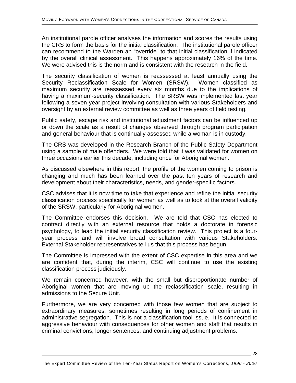An institutional parole officer analyses the information and scores the results using the CRS to form the basis for the initial classification. The institutional parole officer can recommend to the Warden an "override" to that initial classification if indicated by the overall clinical assessment. This happens approximately 16% of the time. We were advised this is the norm and is consistent with the research in the field.

The security classification of women is reassessed at least annually using the Security Reclassification Scale for Women (SRSW). Women classified as maximum security are reassessed every six months due to the implications of having a maximum-security classification. The SRSW was implemented last year following a seven-year project involving consultation with various Stakeholders and oversight by an external review committee as well as three years of field testing.

Public safety, escape risk and institutional adjustment factors can be influenced up or down the scale as a result of changes observed through program participation and general behaviour that is continually assessed while a woman is in custody.

The CRS was developed in the Research Branch of the Public Safety Department using a sample of male offenders. We were told that it was validated for women on three occasions earlier this decade, including once for Aboriginal women.

As discussed elsewhere in this report, the profile of the women coming to prison is changing and much has been learned over the past ten years of research and development about their characteristics, needs, and gender-specific factors.

CSC advises that it is now time to take that experience and refine the initial security classification process specifically for women as well as to look at the overall validity of the SRSW, particularly for Aboriginal women.

The Committee endorses this decision. We are told that CSC has elected to contract directly with an external resource that holds a doctorate in forensic psychology, to lead the initial security classification review. This project is a fouryear process and will involve broad consultation with various Stakeholders. External Stakeholder representatives tell us that this process has begun.

The Committee is impressed with the extent of CSC expertise in this area and we are confident that, during the interim, CSC will continue to use the existing classification process judiciously.

We remain concerned however, with the small but disproportionate number of Aboriginal women that are moving up the reclassification scale, resulting in admissions to the Secure Unit.

Furthermore, we are very concerned with those few women that are subject to extraordinary measures, sometimes resulting in long periods of confinement in administrative segregation. This is not a classification tool issue. It is connected to aggressive behaviour with consequences for other women and staff that results in criminal convictions, longer sentences, and continuing adjustment problems.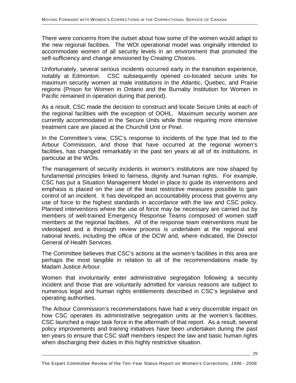There were concerns from the outset about how some of the women would adapt to the new regional facilities. The WOI operational model was originally intended to accommodate women of all security levels in an environment that promoted the self-sufficiency and change envisioned by *Creating Choices*.

Unfortunately, several serious incidents occurred early in the transition experience, notably at Edmonton. CSC subsequently opened co-located secure units for maximum security women at male institutions in the Atlantic, Quebec, and Prairie regions (Prison for Women in Ontario and the Burnaby Institution for Women in Pacific remained in operation during that period).

As a result, CSC made the decision to construct and locate Secure Units at each of the regional facilities with the exception of OOHL. Maximum security women are currently accommodated in the Secure Units while those requiring more intensive treatment care are placed at the Churchill Unit or Pinel.

In the Committee's view, CSC's response to incidents of the type that led to the Arbour Commission, and those that have occurred at the regional women's facilities, has changed remarkably in the past ten years at all of its institutions, in particular at the WOIs.

The management of security incidents in women's institutions are now shaped by fundamental principles linked to fairness, dignity and human rights. For example, CSC has put a Situation Management Model in place to guide its interventions and emphasis is placed on the use of the least restrictive measures possible to gain control of an incident. It has developed an accountability process that governs any use of force to the highest standards in accordance with the law and CSC policy. Planned interventions where the use of force may be necessary are carried out by members of well-trained Emergency Response Teams composed of women staff members at the regional facilities. All of the response team interventions must be videotaped and a thorough review process is undertaken at the regional and national levels, including the office of the DCW and, where indicated, the Director General of Health Services.

The Committee believes that CSC's actions at the women's facilities in this area are perhaps the most tangible in relation to all of the recommendations made by Madam Justice Arbour.

Women that involuntarily enter administrative segregation following a security incident and those that are voluntarily admitted for various reasons are subject to numerous legal and human rights entitlements described in CSC's legislative and operating authorities.

The Arbour Commission's recommendations have had a very discernible impact on how CSC operates its administrative segregation units at the women's facilities. CSC launched a major task force in the aftermath of that report. As a result, several policy improvements and training initiatives have been undertaken during the past ten years to ensure that CSC staff members respect the law and basic human rights when discharging their duties in this highly restrictive situation.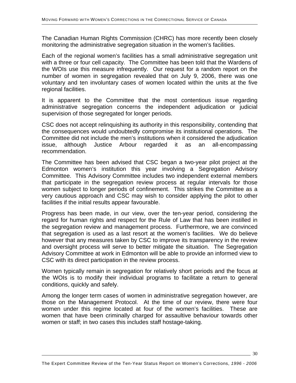The Canadian Human Rights Commission (CHRC) has more recently been closely monitoring the administrative segregation situation in the women's facilities.

Each of the regional women's facilities has a small administrative segregation unit with a three or four cell capacity. The Committee has been told that the Wardens of the WOIs use this measure infrequently. Our request for a random report on the number of women in segregation revealed that on July 9, 2006, there was one voluntary and ten involuntary cases of women located within the units at the five regional facilities.

It is apparent to the Committee that the most contentious issue regarding administrative segregation concerns the independent adjudication or judicial supervision of those segregated for longer periods.

CSC does not accept relinquishing its authority in this responsibility, contending that the consequences would undoubtedly compromise its institutional operations. The Committee did not include the men's institutions when it considered the adjudication issue, although Justice Arbour regarded it as an all-encompassing recommendation.

The Committee has been advised that CSC began a two-year pilot project at the Edmonton women's institution this year involving a Segregation Advisory Committee. This Advisory Committee includes two independent external members that participate in the segregation review process at regular intervals for those women subject to longer periods of confinement. This strikes the Committee as a very cautious approach and CSC may wish to consider applying the pilot to other facilities if the initial results appear favourable.

Progress has been made, in our view, over the ten-year period, considering the regard for human rights and respect for the Rule of Law that has been instilled in the segregation review and management process. Furthermore, we are convinced that segregation is used as a last resort at the women's facilities. We do believe however that any measures taken by CSC to improve its transparency in the review and oversight process will serve to better mitigate the situation. The Segregation Advisory Committee at work in Edmonton will be able to provide an informed view to CSC with its direct participation in the review process.

Women typically remain in segregation for relatively short periods and the focus at the WOIs is to modify their individual programs to facilitate a return to general conditions, quickly and safely.

Among the longer term cases of women in administrative segregation however, are those on the Management Protocol. At the time of our review, there were four women under this regime located at four of the women's facilities. These are women that have been criminally charged for assaultive behaviour towards other women or staff; in two cases this includes staff hostage-taking.

 $\frac{30}{2}$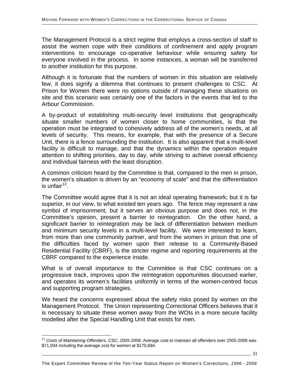The Management Protocol is a strict regime that employs a cross-section of staff to assist the women cope with their conditions of confinement and apply program interventions to encourage co-operative behaviour while ensuring safety for everyone involved in the process. In some instances, a woman will be transferred to another institution for this purpose.

Although it is fortunate that the numbers of women in this situation are relatively few, it does signify a dilemma that continues to present challenges to CSC. At Prison for Women there were no options outside of managing these situations on site and this scenario was certainly one of the factors in the events that led to the Arbour Commission.

A by-product of establishing multi-security level institutions that geographically situate smaller numbers of women closer to home communities, is that the operation must be integrated to cohesively address all of the women's needs, at all levels of security. This means, for example, that with the presence of a Secure Unit, there is a fence surrounding the institution. It is also apparent that a multi-level facility is difficult to manage, and that the dynamics within the operation require attention to shifting priorities, day to day, while striving to achieve overall efficiency and individual fairness with the least disruption.

A common criticism heard by the Committee is that, compared to the men in prison, the women's situation is driven by an "economy of scale" and that the differentiation is unfair $12$ .

The Committee would agree that it is not an ideal operating framework; but it is far superior, in our view, to what existed ten years ago. The fence may represent a raw symbol of imprisonment, but it serves an obvious purpose and does not, in the Committee's opinion, present a barrier to reintegration. On the other hand, a significant barrier to reintegration may be lack of differentiation between medium and minimum security levels in a multi-level facility. We were interested to learn, from more than one community partner, and from the women in prison that one of the difficulties faced by women upon their release to a Community-Based Residential Facility (CBRF), is the stricter regime and reporting requirements at the CBRF compared to the experience inside.

What is of overall importance to the Committee is that CSC continues on a progressive track, improves upon the reintegration opportunities discussed earlier, and operates its women's facilities uniformly in terms of the women-centred focus and supporting program strategies.

We heard the concerns expressed about the safety risks posed by women on the Management Protocol. The Union representing Correctional Officers believes that it is necessary to situate these women away from the WOIs in a more secure facility modelled after the Special Handling Unit that exists for men.

l

31

<span id="page-30-0"></span><sup>&</sup>lt;sup>12</sup> Costs of Maintaining Offenders, CSC, 2005-2006: Average cost to maintain all offenders over 2005-2006 was \$71,004 including the average cost for women at \$170,684.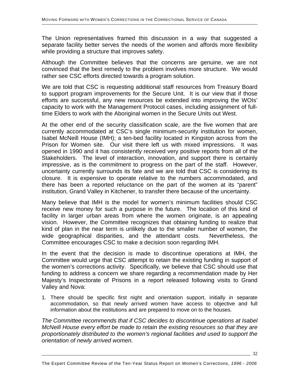The Union representatives framed this discussion in a way that suggested a separate facility better serves the needs of the women and affords more flexibility while providing a structure that improves safety.

Although the Committee believes that the concerns are genuine, we are not convinced that the best remedy to the problem involves more structure. We would rather see CSC efforts directed towards a program solution.

We are told that CSC is requesting additional staff resources from Treasury Board to support program improvements for the Secure Unit. It is our view that if those efforts are successful, any new resources be extended into improving the WOIs' capacity to work with the Management Protocol cases, including assignment of fulltime Elders to work with the Aboriginal women in the Secure Units out West.

At the other end of the security classification scale, are the five women that are currently accommodated at CSC's single minimum-security institution for women, Isabel McNeill House (IMH); a ten-bed facility located in Kingston across from the Prison for Women site. Our visit there left us with mixed impressions. It was opened in 1990 and it has consistently received very positive reports from all of the Stakeholders. The level of interaction, innovation, and support there is certainly impressive, as is the commitment to progress on the part of the staff. However, uncertainty currently surrounds its fate and we are told that CSC is considering its closure. It is expensive to operate relative to the numbers accommodated, and there has been a reported reluctance on the part of the women at its "parent" institution, Grand Valley in Kitchener, to transfer there because of the uncertainty.

Many believe that IMH is the model for women's minimum facilities should CSC receive new money for such a purpose in the future. The location of this kind of facility in larger urban areas from where the women originate, is an appealing vision. However, the Committee recognizes that obtaining funding to realize that kind of plan in the near term is unlikely due to the smaller number of women, the wide geographical disparities, and the attendant costs. Nevertheless, the Committee encourages CSC to make a decision soon regarding IMH.

In the event that the decision is made to discontinue operations at IMH, the Committee would urge that CSC attempt to retain the existing funding in support of the women's corrections activity. Specifically, we believe that CSC should use that funding to address a concern we share regarding a recommendation made by Her Majesty's Inspectorate of Prisons in a report released following visits to Grand Valley and Nova:

1. There should be specific first night and orientation support, initially in separate accommodation, so that newly arrived women have access to objective and full information about the institutions and are prepared to move on to the houses.

*The Committee recommends that if CSC decides to discontinue operations at Isabel McNeill House every effort be made to retain the existing resources so that they are proportionately distributed to the women's regional facilities and used to support the orientation of newly arrived women.* 

 $\frac{32}{ }$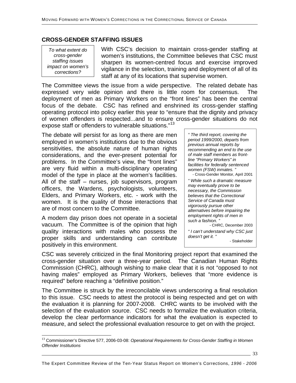## **CROSS-GENDER STAFFING ISSUES**

*To what extent do cross-gender staffing issues impact on women's corrections?*

l

With CSC's decision to maintain cross-gender staffing at women's institutions, the Committee believes that CSC must sharpen its women-centred focus and exercise improved vigilance in the selection, training and deployment of all of its staff at any of its locations that supervise women.

The Committee views the issue from a wide perspective. The related debate has expressed very wide opinion and there is little room for consensus. The deployment of men as Primary Workers on the "front lines" has been the central focus of the debate. CSC has refined and enshrined its cross-gender staffing operating protocol into policy earlier this year to "ensure that the dignity and privacy of women offenders is respected...and to ensure cross-gender situations do not expose staff or offenders to vulnerable situations."[13](#page-32-0)

The debate will persist for as long as there are men employed in women's institutions due to the obvious sensitivities, the absolute nature of human rights considerations, and the ever-present potential for problems. In the Committee's view, the "front lines" are very fluid within a multi-disciplinary operating model of the type in place at the women's facilities. All of the staff – nurses, job supervisors, program officers, the Wardens, psychologists, volunteers, Elders, and Primary Workers, etc. - work with the women. It is the quality of those interactions that are of most concern to the Committee.

A modern day prison does not operate in a societal vacuum. The Committee is of the opinion that high quality interactions with males who possess the proper skills and understanding can contribute positively in this environment.

*" The third report, covering the period 1999/2000, departs from previous annual reports by recommending an end to the use of male staff members as frontline "Primary Workers" in facilities for federally sentenced women (FSW) inmates. "* 

- Cross-Gender Monitor, April 2001 *" While such a dramatic measure may eventually prove to be necessary, the Commission believes that the Correctional Service of Canada must vigorously pursue other alternatives before impairing the employment rights of men in such a fashion. "*  - CHRC, December 2003

*" I can't understand why CSC just doesn't get it. "*  - Stakeholder

CSC was severely criticized in the final Monitoring project report that examined the cross-gender situation over a three-year period. The Canadian Human Rights Commission (CHRC), although wishing to make clear that it is not "opposed to not having males" employed as Primary Workers, believes that "more evidence is required" before reaching a "definitive position."

The Committee is struck by the irreconcilable views underscoring a final resolution to this issue. CSC needs to attest the protocol is being respected and get on with the evaluation it is planning for 2007-2008. CHRC wants to be involved with the selection of the evaluation source. CSC needs to formalize the evaluation criteria, develop the clear performance indicators for what the evaluation is expected to measure, and select the professional evaluation resource to get on with the project.

<span id="page-32-0"></span><sup>&</sup>lt;sup>13</sup> Commissioner's Directive 577, 2006-03-08: *Operational Requirements for Cross-Gender Staffing in Women Offender Institutions*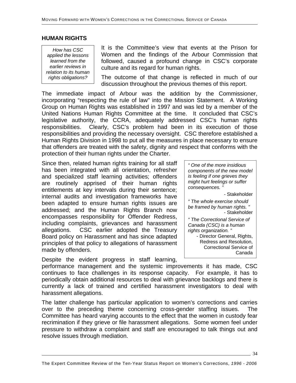#### **HUMAN RIGHTS**

*How has CSC applied the lessons learned from the earlier reviews in relation to its human*  It is the Committee's view that events at the Prison for Women and the findings of the Arbour Commission that followed, caused a profound change in CSC's corporate culture and its regard for human rights.

*rights obligations?* The outcome of that change is reflected in much of our discussion throughout the previous themes of this report.

The immediate impact of Arbour was the addition by the Commissioner, incorporating "respecting the rule of law" into the Mission Statement. A Working Group on Human Rights was established in 1997 and was led by a member of the United Nations Human Rights Committee at the time. It concluded that CSC's legislative authority, the CCRA, adequately addressed CSC's human rights responsibilities. Clearly, CSC's problem had been in its execution of those responsibilities and providing the necessary oversight. CSC therefore established a Human Rights Division in 1998 to put all the measures in place necessary to ensure that offenders are treated with the safety, dignity and respect that conforms with the protection of their human rights under the Charter.

Since then, related human rights training for all staff has been integrated with all orientation, refresher and specialized staff learning activities; offenders are routinely apprised of their human rights entitlements at key intervals during their sentence; internal audits and investigation frameworks have been adapted to ensure human rights issues are addressed; and the Human Rights Branch now encompasses responsibility for Offender Redress, including complaints, grievances and harassment allegations. CSC earlier adopted the Treasury Board policy on Harassment and has since adapted principles of that policy to allegations of harassment made by offenders.

Despite the evident progress in staff learning,

*" One of the more insidious components of the new model is feeling if one grieves they might hurt feelings or suffer consequences. "*  - Stakeholder *" The whole exercise should be framed by human rights. "*  - Stakeholder *" The Correctional Service of Canada (CSC) is a human rights organization. "*  - Director General, Rights, Redress and Resolution, Correctional Service of

performance management and the systemic improvements it has made, CSC continues to face challenges in its response capacity. For example, it has to periodically obtain additional resources to deal with grievance backlogs and there is currently a lack of trained and certified harassment investigators to deal with harassment allegations.

The latter challenge has particular application to women's corrections and carries over to the preceding theme concerning cross-gender staffing issues. The Committee has heard varying accounts to the effect that the women in custody fear recrimination if they grieve or file harassment allegations. Some women feel under pressure to withdraw a complaint and staff are encouraged to talk things out and resolve issues through mediation.

34

Canada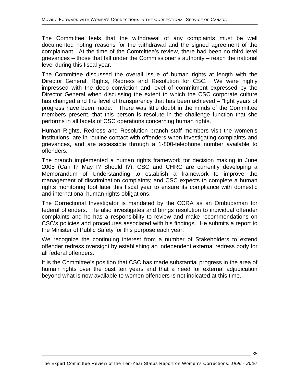The Committee feels that the withdrawal of any complaints must be well documented noting reasons for the withdrawal and the signed agreement of the complainant. At the time of the Committee's review, there had been no third level grievances – those that fall under the Commissioner's authority – reach the national level during this fiscal year.

The Committee discussed the overall issue of human rights at length with the Director General, Rights, Redress and Resolution for CSC. We were highly impressed with the deep conviction and level of commitment expressed by the Director General when discussing the extent to which the CSC corporate culture has changed and the level of transparency that has been achieved – "light years of progress have been made." There was little doubt in the minds of the Committee members present, that this person is resolute in the challenge function that she performs in all facets of CSC operations concerning human rights.

Human Rights, Redress and Resolution branch staff members visit the women's institutions, are in routine contact with offenders when investigating complaints and grievances, and are accessible through a 1-800-telephone number available to offenders.

The branch implemented a human rights framework for decision making in June 2005 (Can I? May I? Should I?); CSC and CHRC are currently developing a Memorandum of Understanding to establish a framework to improve the management of discrimination complaints; and CSC expects to complete a human rights monitoring tool later this fiscal year to ensure its compliance with domestic and international human rights obligations.

The Correctional Investigator is mandated by the CCRA as an Ombudsman for federal offenders. He also investigates and brings resolution to individual offender complaints and he has a responsibility to review and make recommendations on CSC's policies and procedures associated with his findings. He submits a report to the Minister of Public Safety for this purpose each year.

We recognize the continuing interest from a number of Stakeholders to extend offender redress oversight by establishing an independent external redress body for all federal offenders.

It is the Committee's position that CSC has made substantial progress in the area of human rights over the past ten years and that a need for external adjudication beyond what is now available to women offenders is not indicated at this time.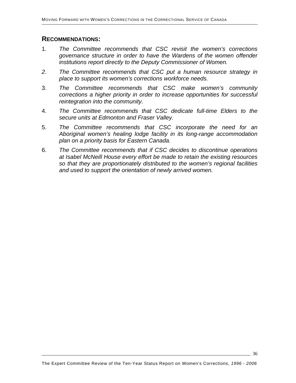#### **RECOMMENDATIONS:**

- 1. *The Committee recommends that CSC revisit the women's corrections governance structure in order to have the Wardens of the women offender institutions report directly to the Deputy Commissioner of Women.*
- *2. The Committee recommends that CSC put a human resource strategy in place to support its women's corrections workforce needs.*
- 3. *The Committee recommends that CSC make women's community corrections a higher priority in order to increase opportunities for successful reintegration into the community.*
- 4. *The Committee recommends that CSC dedicate full-time Elders to the secure units at Edmonton and Fraser Valley.*
- 5. *The Committee recommends that CSC incorporate the need for an Aboriginal women's healing lodge facility in its long-range accommodation plan on a priority basis for Eastern Canada.*
- 6. *The Committee recommends that if CSC decides to discontinue operations at Isabel McNeill House every effort be made to retain the existing resources so that they are proportionately distributed to the women's regional facilities and used to support the orientation of newly arrived women.*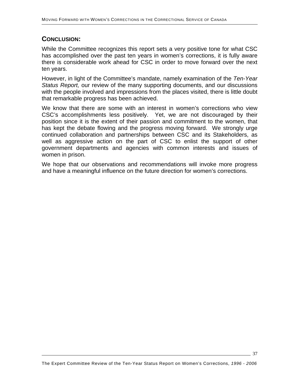## **CONCLUSION:**

While the Committee recognizes this report sets a very positive tone for what CSC has accomplished over the past ten years in women's corrections, it is fully aware there is considerable work ahead for CSC in order to move forward over the next ten years.

However, in light of the Committee's mandate, namely examination of the *Ten-Year Status Report,* our review of the many supporting documents, and our discussions with the people involved and impressions from the places visited, there is little doubt that remarkable progress has been achieved.

We know that there are some with an interest in women's corrections who view CSC's accomplishments less positively. Yet, we are not discouraged by their position since it is the extent of their passion and commitment to the women, that has kept the debate flowing and the progress moving forward. We strongly urge continued collaboration and partnerships between CSC and its Stakeholders, as well as aggressive action on the part of CSC to enlist the support of other government departments and agencies with common interests and issues of women in prison.

We hope that our observations and recommendations will invoke more progress and have a meaningful influence on the future direction for women's corrections.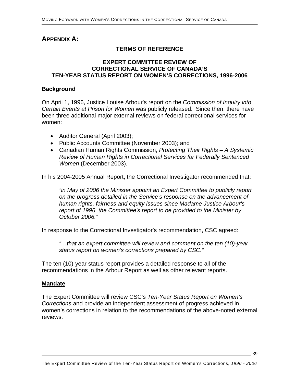## **APPENDIX A:**

## **TERMS OF REFERENCE**

#### **EXPERT COMMITTEE REVIEW OF CORRECTIONAL SERVICE OF CANADA'S TEN-YEAR STATUS REPORT ON WOMEN'S CORRECTIONS, 1996-2006**

#### **Background**

On April 1, 1996, Justice Louise Arbour's report on the *Commission of Inquiry into Certain Events at Prison for Women* was publicly released. Since then, there have been three additional major external reviews on federal correctional services for women:

- Auditor General (April 2003);
- Public Accounts Committee (November 2003); and
- Canadian Human Rights Commission, *Protecting Their Rights A Systemic Review of Human Rights in Correctional Services for Federally Sentenced Women* (December 2003).

In his 2004-2005 Annual Report, the Correctional Investigator recommended that:

*"in May of 2006 the Minister appoint an Expert Committee to publicly report on the progress detailed in the Service's response on the advancement of human rights, fairness and equity issues since Madame Justice Arbour's report of 1996 the Committee's report to be provided to the Minister by October 2006."* 

In response to the Correctional Investigator's recommendation, CSC agreed:

*"…that an expert committee will review and comment on the ten (10)-year status report on women's corrections prepared by CSC."* 

The ten (10)-year status report provides a detailed response to all of the recommendations in the Arbour Report as well as other relevant reports.

#### **Mandate**

The Expert Committee will review CSC's *Ten-Year Status Report on Women's Corrections* and provide an independent assessment of progress achieved in women's corrections in relation to the recommendations of the above-noted external reviews.

39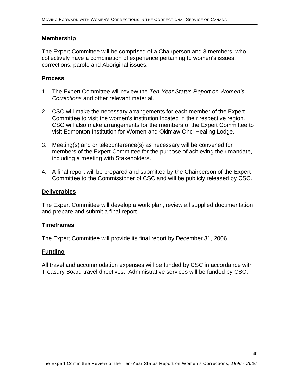#### **Membership**

The Expert Committee will be comprised of a Chairperson and 3 members, who collectively have a combination of experience pertaining to women's issues, corrections, parole and Aboriginal issues.

## **Process**

- 1. The Expert Committee will review the *Ten-Year Status Report on Women's Corrections* and other relevant material.
- 2. CSC will make the necessary arrangements for each member of the Expert Committee to visit the women's institution located in their respective region. CSC will also make arrangements for the members of the Expert Committee to visit Edmonton Institution for Women and Okimaw Ohci Healing Lodge.
- 3. Meeting(s) and or teleconference(s) as necessary will be convened for members of the Expert Committee for the purpose of achieving their mandate, including a meeting with Stakeholders.
- 4. A final report will be prepared and submitted by the Chairperson of the Expert Committee to the Commissioner of CSC and will be publicly released by CSC.

#### **Deliverables**

The Expert Committee will develop a work plan, review all supplied documentation and prepare and submit a final report.

#### **Timeframes**

The Expert Committee will provide its final report by December 31, 2006.

#### **Funding**

All travel and accommodation expenses will be funded by CSC in accordance with Treasury Board travel directives. Administrative services will be funded by CSC.

 $-40$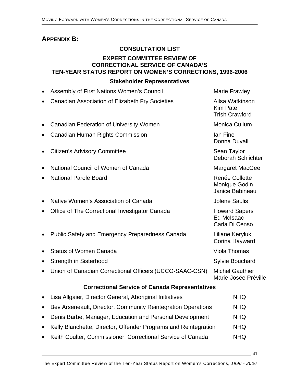# **APPENDIX B:**

## **CONSULTATION LIST**

## **EXPERT COMMITTEE REVIEW OF CORRECTIONAL SERVICE OF CANADA'S TEN-YEAR STATUS REPORT ON WOMEN'S CORRECTIONS, 1996-2006**

#### **Stakeholder Representatives**

|           | Assembly of First Nations Women's Council                       | <b>Marie Frawley</b>                                        |  |  |  |
|-----------|-----------------------------------------------------------------|-------------------------------------------------------------|--|--|--|
|           | Canadian Association of Elizabeth Fry Societies                 | Ailsa Watkinson<br><b>Kim Pate</b><br><b>Trish Crawford</b> |  |  |  |
|           | <b>Canadian Federation of University Women</b>                  | Monica Cullum                                               |  |  |  |
|           | Canadian Human Rights Commission                                | lan Fine<br>Donna Duvall                                    |  |  |  |
|           | <b>Citizen's Advisory Committee</b>                             | Sean Taylor<br><b>Deborah Schlichter</b>                    |  |  |  |
| $\bullet$ | National Council of Women of Canada                             | <b>Margaret MacGee</b>                                      |  |  |  |
| $\bullet$ | <b>National Parole Board</b>                                    | Renée Collette<br>Monique Godin<br>Janice Babineau          |  |  |  |
| $\bullet$ | Native Women's Association of Canada                            | <b>Jolene Saulis</b>                                        |  |  |  |
| $\bullet$ | Office of The Correctional Investigator Canada                  | <b>Howard Sapers</b><br><b>Ed McIsaac</b><br>Carla Di Censo |  |  |  |
|           | <b>Public Safety and Emergency Preparedness Canada</b>          | Liliane Keryluk<br>Corina Hayward                           |  |  |  |
|           | <b>Status of Women Canada</b>                                   | <b>Viola Thomas</b>                                         |  |  |  |
|           | Strength in Sisterhood                                          | Sylvie Bouchard                                             |  |  |  |
|           | Union of Canadian Correctional Officers (UCCO-SAAC-CSN)         | <b>Michel Gauthier</b><br>Marie-Josée Préville              |  |  |  |
|           | <b>Correctional Service of Canada Representatives</b>           |                                                             |  |  |  |
| $\bullet$ | Lisa Allgaier, Director General, Aboriginal Initiatives         | <b>NHQ</b>                                                  |  |  |  |
| $\bullet$ | Bev Arseneault, Director, Community Reintegration Operations    | <b>NHQ</b>                                                  |  |  |  |
| $\bullet$ | Denis Barbe, Manager, Education and Personal Development        | <b>NHQ</b>                                                  |  |  |  |
|           | Kelly Blanchette, Director, Offender Programs and Reintegration | <b>NHQ</b>                                                  |  |  |  |
|           |                                                                 |                                                             |  |  |  |

• Keith Coulter, Commissioner, Correctional Service of Canada NHQ